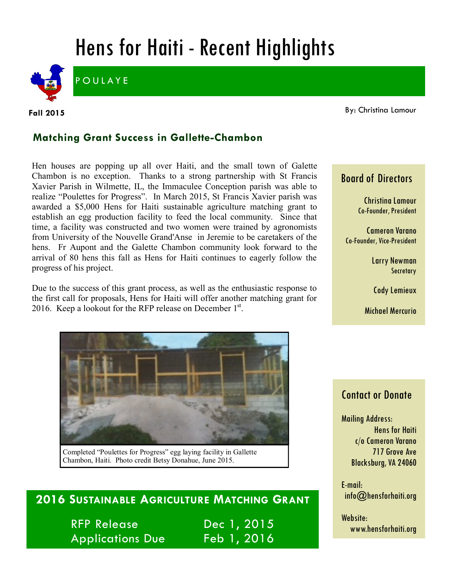# Hens for Haiti - Recent Highlights



**Fall 2015**

By: Christina Lamour

#### **Matching Grant Success in Gallette-Chambon**

Hen houses are popping up all over Haiti, and the small town of Galette Chambon is no exception. Thanks to a strong partnership with St Francis Xavier Parish in Wilmette, IL, the Immaculee Conception parish was able to realize "Poulettes for Progress". In March 2015, St Francis Xavier parish was awarded a \$5,000 Hens for Haiti sustainable agriculture matching grant to establish an egg production facility to feed the local community. Since that time, a facility was constructed and two women were trained by agronomists from University of the Nouvelle Grand'Anse in Jeremie to be caretakers of the hens. Fr Aupont and the Galette Chambon community look forward to the arrival of 80 hens this fall as Hens for Haiti continues to eagerly follow the progress of his project.

Due to the success of this grant process, as well as the enthusiastic response to the first call for proposals, Hens for Haiti will offer another matching grant for 2016. Keep a lookout for the RFP release on December  $1<sup>st</sup>$ .



Completed "Poulettes for Progress" egg laying facility in Gallette Chambon, Haiti. Photo credit Betsy Donahue, June 2015.

## **2016 SUSTAINABLE AGRICULTURE MATCHING GRANT**

RFP Release Dec 1, 2015 Applications Due Feb 1, 2016

## Christina Lamour

Board of Directors

Co-Founder, President

Cameron Varano Co-Founder, Vice-President

> Larry Newman **Secretary**

Cody Lemieux

Michael Mercurio

### Contact or Donate

Mailing Address: Hens for Haiti c/o Cameron Varano 717 Grove Ave Blacksburg, VA 24060

E-mail: info@hensforhaiti.org

Website: www.hensforhaiti.org